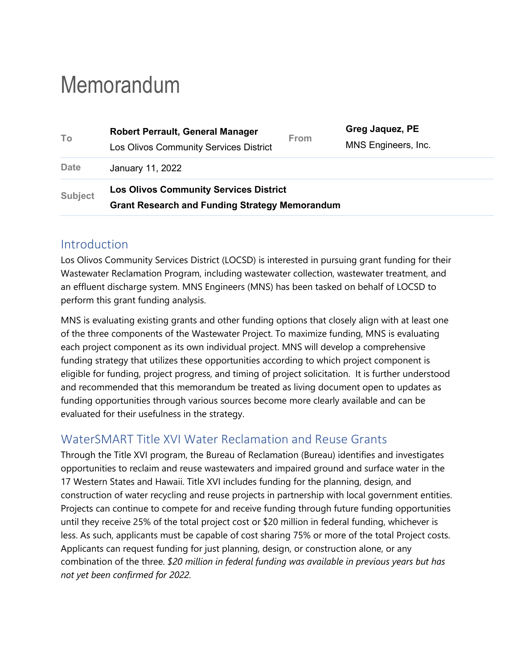# Memorandum

| To             | <b>Robert Perrault, General Manager</b>               | <b>From</b> | Greg Jaquez, PE     |  |  |  |  |  |
|----------------|-------------------------------------------------------|-------------|---------------------|--|--|--|--|--|
|                | Los Olivos Community Services District                |             | MNS Engineers, Inc. |  |  |  |  |  |
| <b>Date</b>    | January 11, 2022                                      |             |                     |  |  |  |  |  |
| <b>Subject</b> | <b>Los Olivos Community Services District</b>         |             |                     |  |  |  |  |  |
|                | <b>Grant Research and Funding Strategy Memorandum</b> |             |                     |  |  |  |  |  |

### Introduction

Los Olivos Community Services District (LOCSD) is interested in pursuing grant funding for their Wastewater Reclamation Program, including wastewater collection, wastewater treatment, and an effluent discharge system. MNS Engineers (MNS) has been tasked on behalf of LOCSD to perform this grant funding analysis.

MNS is evaluating existing grants and other funding options that closely align with at least one of the three components of the Wastewater Project. To maximize funding, MNS is evaluating each project component as its own individual project. MNS will develop a comprehensive funding strategy that utilizes these opportunities according to which project component is eligible for funding, project progress, and timing of project solicitation. It is further understood and recommended that this memorandum be treated as living document open to updates as funding opportunities through various sources become more clearly available and can be evaluated for their usefulness in the strategy.

# WaterSMART Title XVI Water Reclamation and Reuse Grants

Through the Title XVI program, the Bureau of Reclamation (Bureau) identifies and investigates opportunities to reclaim and reuse wastewaters and impaired ground and surface water in the 17 Western States and Hawaii. Title XVI includes funding for the planning, design, and construction of water recycling and reuse projects in partnership with local government entities. Projects can continue to compete for and receive funding through future funding opportunities until they receive 25% of the total project cost or \$20 million in federal funding, whichever is less. As such, applicants must be capable of cost sharing 75% or more of the total Project costs. Applicants can request funding for just planning, design, or construction alone, or any combination of the three. *\$20 million in federal funding was available in previous years but has not yet been confirmed for 2022.*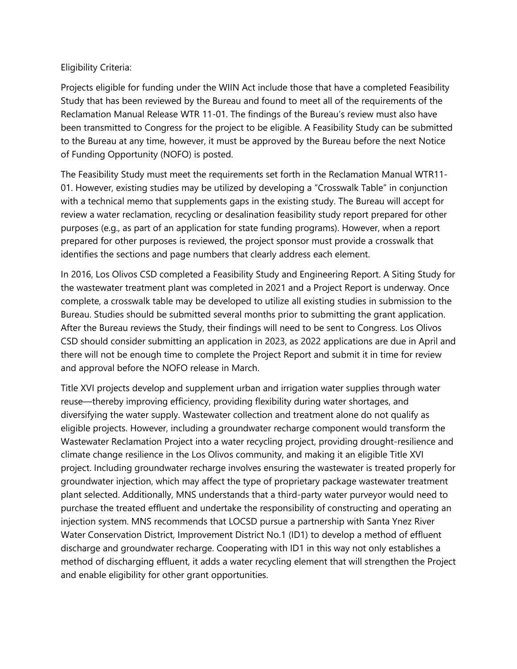#### Eligibility Criteria:

Projects eligible for funding under the WIIN Act include those that have a completed Feasibility Study that has been reviewed by the Bureau and found to meet all of the requirements of the Reclamation Manual Release WTR 11-01. The findings of the Bureau's review must also have been transmitted to Congress for the project to be eligible. A Feasibility Study can be submitted to the Bureau at any time, however, it must be approved by the Bureau before the next Notice of Funding Opportunity (NOFO) is posted.

The Feasibility Study must meet the requirements set forth in the Reclamation Manual WTR11- 01. However, existing studies may be utilized by developing a "Crosswalk Table" in conjunction with a technical memo that supplements gaps in the existing study. The Bureau will accept for review a water reclamation, recycling or desalination feasibility study report prepared for other purposes (e.g., as part of an application for state funding programs). However, when a report prepared for other purposes is reviewed, the project sponsor must provide a crosswalk that identifies the sections and page numbers that clearly address each element.

In 2016, Los Olivos CSD completed a Feasibility Study and Engineering Report. A Siting Study for the wastewater treatment plant was completed in 2021 and a Project Report is underway. Once complete, a crosswalk table may be developed to utilize all existing studies in submission to the Bureau. Studies should be submitted several months prior to submitting the grant application. After the Bureau reviews the Study, their findings will need to be sent to Congress. Los Olivos CSD should consider submitting an application in 2023, as 2022 applications are due in April and there will not be enough time to complete the Project Report and submit it in time for review and approval before the NOFO release in March.

Title XVI projects develop and supplement urban and irrigation water supplies through water reuse—thereby improving efficiency, providing flexibility during water shortages, and diversifying the water supply. Wastewater collection and treatment alone do not qualify as eligible projects. However, including a groundwater recharge component would transform the Wastewater Reclamation Project into a water recycling project, providing drought-resilience and climate change resilience in the Los Olivos community, and making it an eligible Title XVI project. Including groundwater recharge involves ensuring the wastewater is treated properly for groundwater injection, which may affect the type of proprietary package wastewater treatment plant selected. Additionally, MNS understands that a third-party water purveyor would need to purchase the treated effluent and undertake the responsibility of constructing and operating an injection system. MNS recommends that LOCSD pursue a partnership with Santa Ynez River Water Conservation District, Improvement District No.1 (ID1) to develop a method of effluent discharge and groundwater recharge. Cooperating with ID1 in this way not only establishes a method of discharging effluent, it adds a water recycling element that will strengthen the Project and enable eligibility for other grant opportunities.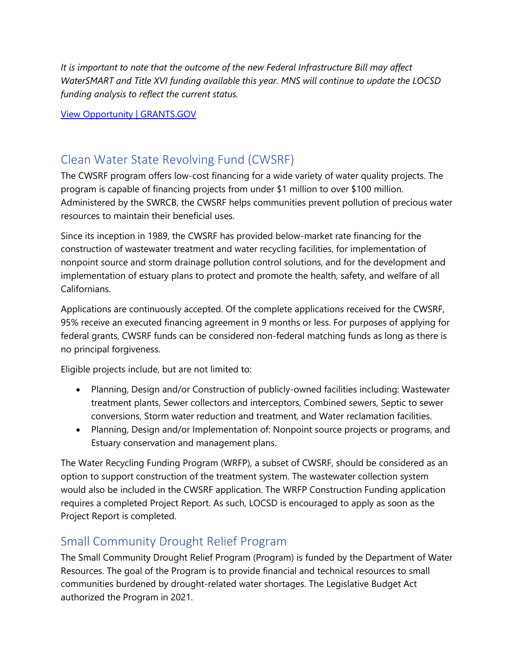*It is important to note that the outcome of the new Federal Infrastructure Bill may affect WaterSMART and Title XVI funding available this year. MNS will continue to update the LOCSD funding analysis to reflect the current status.*

[View Opportunity | GRANTS.GOV](https://www.grants.gov/web/grants/view-opportunity.html?oppId=332329)

# Clean Water State Revolving Fund (CWSRF)

The CWSRF program offers low-cost financing for a wide variety of water quality projects. The program is capable of financing projects from under \$1 million to over \$100 million. Administered by the SWRCB, the CWSRF helps communities prevent pollution of precious water resources to maintain their beneficial uses.

Since its inception in 1989, the CWSRF has provided below-market rate financing for the construction of wastewater treatment and water recycling facilities, for implementation of nonpoint source and storm drainage pollution control solutions, and for the development and implementation of estuary plans to protect and promote the health, safety, and welfare of all Californians.

Applications are continuously accepted. Of the complete applications received for the CWSRF, 95% receive an executed financing agreement in 9 months or less. For purposes of applying for federal grants, CWSRF funds can be considered non-federal matching funds as long as there is no principal forgiveness.

Eligible projects include, but are not limited to:

- Planning, Design and/or Construction of publicly-owned facilities including: Wastewater treatment plants, Sewer collectors and interceptors, Combined sewers, Septic to sewer conversions, Storm water reduction and treatment, and Water reclamation facilities.
- Planning, Design and/or Implementation of: Nonpoint source projects or programs, and Estuary conservation and management plans.

The Water Recycling Funding Program (WRFP), a subset of CWSRF, should be considered as an option to support construction of the treatment system. The wastewater collection system would also be included in the CWSRF application. The WRFP Construction Funding application requires a completed Project Report. As such, LOCSD is encouraged to apply as soon as the Project Report is completed.

# Small Community Drought Relief Program

The Small Community Drought Relief Program (Program) is funded by the Department of Water Resources. The goal of the Program is to provide financial and technical resources to small communities burdened by drought-related water shortages. The Legislative Budget Act authorized the Program in 2021.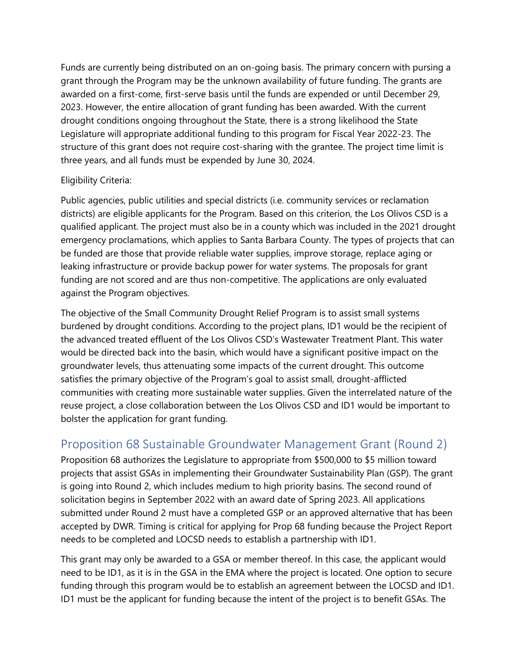Funds are currently being distributed on an on-going basis. The primary concern with pursing a grant through the Program may be the unknown availability of future funding. The grants are awarded on a first-come, first-serve basis until the funds are expended or until December 29, 2023. However, the entire allocation of grant funding has been awarded. With the current drought conditions ongoing throughout the State, there is a strong likelihood the State Legislature will appropriate additional funding to this program for Fiscal Year 2022-23. The structure of this grant does not require cost-sharing with the grantee. The project time limit is three years, and all funds must be expended by June 30, 2024.

#### Eligibility Criteria:

Public agencies, public utilities and special districts (i.e. community services or reclamation districts) are eligible applicants for the Program. Based on this criterion, the Los Olivos CSD is a qualified applicant. The project must also be in a county which was included in the 2021 drought emergency proclamations, which applies to Santa Barbara County. The types of projects that can be funded are those that provide reliable water supplies, improve storage, replace aging or leaking infrastructure or provide backup power for water systems. The proposals for grant funding are not scored and are thus non-competitive. The applications are only evaluated against the Program objectives.

The objective of the Small Community Drought Relief Program is to assist small systems burdened by drought conditions. According to the project plans, ID1 would be the recipient of the advanced treated effluent of the Los Olivos CSD's Wastewater Treatment Plant. This water would be directed back into the basin, which would have a significant positive impact on the groundwater levels, thus attenuating some impacts of the current drought. This outcome satisfies the primary objective of the Program's goal to assist small, drought-afflicted communities with creating more sustainable water supplies. Given the interrelated nature of the reuse project, a close collaboration between the Los Olivos CSD and ID1 would be important to bolster the application for grant funding.

## Proposition 68 Sustainable Groundwater Management Grant (Round 2)

Proposition 68 authorizes the Legislature to appropriate from \$500,000 to \$5 million toward projects that assist GSAs in implementing their Groundwater Sustainability Plan (GSP). The grant is going into Round 2, which includes medium to high priority basins. The second round of solicitation begins in September 2022 with an award date of Spring 2023. All applications submitted under Round 2 must have a completed GSP or an approved alternative that has been accepted by DWR. Timing is critical for applying for Prop 68 funding because the Project Report needs to be completed and LOCSD needs to establish a partnership with ID1.

This grant may only be awarded to a GSA or member thereof. In this case, the applicant would need to be ID1, as it is in the GSA in the EMA where the project is located. One option to secure funding through this program would be to establish an agreement between the LOCSD and ID1. ID1 must be the applicant for funding because the intent of the project is to benefit GSAs. The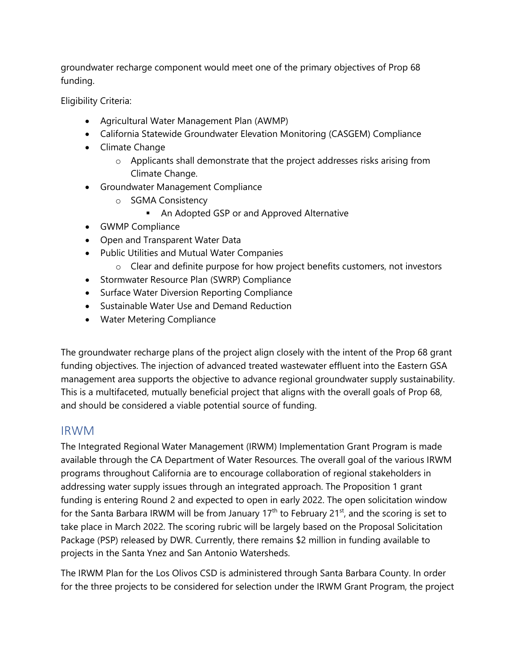groundwater recharge component would meet one of the primary objectives of Prop 68 funding.

Eligibility Criteria:

- Agricultural Water Management Plan (AWMP)
- California Statewide Groundwater Elevation Monitoring (CASGEM) Compliance
- Climate Change
	- o Applicants shall demonstrate that the project addresses risks arising from Climate Change.
- Groundwater Management Compliance
	- o SGMA Consistency
		- **An Adopted GSP or and Approved Alternative**
- GWMP Compliance
- Open and Transparent Water Data
- Public Utilities and Mutual Water Companies
	- o Clear and definite purpose for how project benefits customers, not investors
- Stormwater Resource Plan (SWRP) Compliance
- Surface Water Diversion Reporting Compliance
- Sustainable Water Use and Demand Reduction
- Water Metering Compliance

The groundwater recharge plans of the project align closely with the intent of the Prop 68 grant funding objectives. The injection of advanced treated wastewater effluent into the Eastern GSA management area supports the objective to advance regional groundwater supply sustainability. This is a multifaceted, mutually beneficial project that aligns with the overall goals of Prop 68, and should be considered a viable potential source of funding.

#### IRWM

The Integrated Regional Water Management (IRWM) Implementation Grant Program is made available through the CA Department of Water Resources. The overall goal of the various IRWM programs throughout California are to encourage collaboration of regional stakeholders in addressing water supply issues through an integrated approach. The Proposition 1 grant funding is entering Round 2 and expected to open in early 2022. The open solicitation window for the Santa Barbara IRWM will be from January 17<sup>th</sup> to February 21<sup>st</sup>, and the scoring is set to take place in March 2022. The scoring rubric will be largely based on the Proposal Solicitation Package (PSP) released by DWR. Currently, there remains \$2 million in funding available to projects in the Santa Ynez and San Antonio Watersheds.

The IRWM Plan for the Los Olivos CSD is administered through Santa Barbara County. In order for the three projects to be considered for selection under the IRWM Grant Program, the project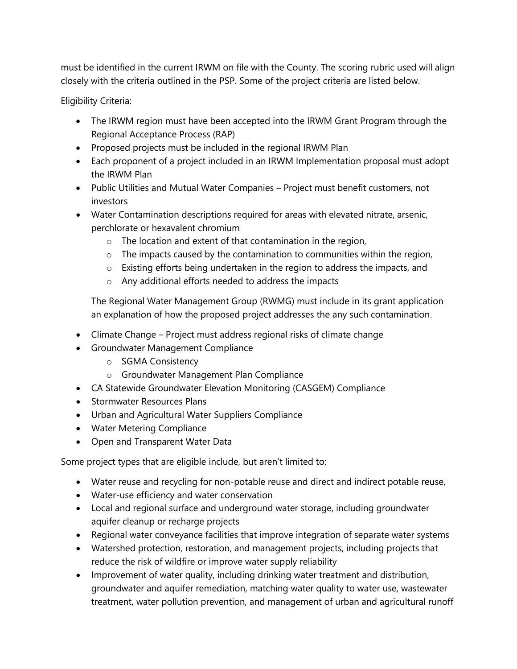must be identified in the current IRWM on file with the County. The scoring rubric used will align closely with the criteria outlined in the PSP. Some of the project criteria are listed below.

Eligibility Criteria:

- The IRWM region must have been accepted into the IRWM Grant Program through the Regional Acceptance Process (RAP)
- Proposed projects must be included in the regional IRWM Plan
- Each proponent of a project included in an IRWM Implementation proposal must adopt the IRWM Plan
- Public Utilities and Mutual Water Companies Project must benefit customers, not investors
- Water Contamination descriptions required for areas with elevated nitrate, arsenic, perchlorate or hexavalent chromium
	- o The location and extent of that contamination in the region,
	- $\circ$  The impacts caused by the contamination to communities within the region,
	- o Existing efforts being undertaken in the region to address the impacts, and
	- o Any additional efforts needed to address the impacts

The Regional Water Management Group (RWMG) must include in its grant application an explanation of how the proposed project addresses the any such contamination.

- Climate Change Project must address regional risks of climate change
- Groundwater Management Compliance
	- o SGMA Consistency
	- o Groundwater Management Plan Compliance
- CA Statewide Groundwater Elevation Monitoring (CASGEM) Compliance
- Stormwater Resources Plans
- Urban and Agricultural Water Suppliers Compliance
- Water Metering Compliance
- Open and Transparent Water Data

Some project types that are eligible include, but aren't limited to:

- Water reuse and recycling for non-potable reuse and direct and indirect potable reuse,
- Water-use efficiency and water conservation
- Local and regional surface and underground water storage, including groundwater aquifer cleanup or recharge projects
- Regional water conveyance facilities that improve integration of separate water systems
- Watershed protection, restoration, and management projects, including projects that reduce the risk of wildfire or improve water supply reliability
- Improvement of water quality, including drinking water treatment and distribution, groundwater and aquifer remediation, matching water quality to water use, wastewater treatment, water pollution prevention, and management of urban and agricultural runoff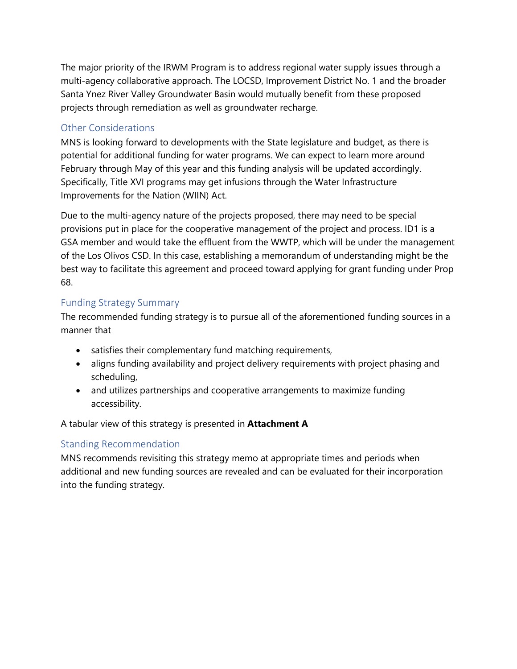The major priority of the IRWM Program is to address regional water supply issues through a multi-agency collaborative approach. The LOCSD, Improvement District No. 1 and the broader Santa Ynez River Valley Groundwater Basin would mutually benefit from these proposed projects through remediation as well as groundwater recharge.

#### Other Considerations

MNS is looking forward to developments with the State legislature and budget, as there is potential for additional funding for water programs. We can expect to learn more around February through May of this year and this funding analysis will be updated accordingly. Specifically, Title XVI programs may get infusions through the Water Infrastructure Improvements for the Nation (WIIN) Act.

Due to the multi-agency nature of the projects proposed, there may need to be special provisions put in place for the cooperative management of the project and process. ID1 is a GSA member and would take the effluent from the WWTP, which will be under the management of the Los Olivos CSD. In this case, establishing a memorandum of understanding might be the best way to facilitate this agreement and proceed toward applying for grant funding under Prop 68.

#### Funding Strategy Summary

The recommended funding strategy is to pursue all of the aforementioned funding sources in a manner that

- satisfies their complementary fund matching requirements,
- aligns funding availability and project delivery requirements with project phasing and scheduling,
- and utilizes partnerships and cooperative arrangements to maximize funding accessibility.

A tabular view of this strategy is presented in **Attachment A**

#### Standing Recommendation

MNS recommends revisiting this strategy memo at appropriate times and periods when additional and new funding sources are revealed and can be evaluated for their incorporation into the funding strategy.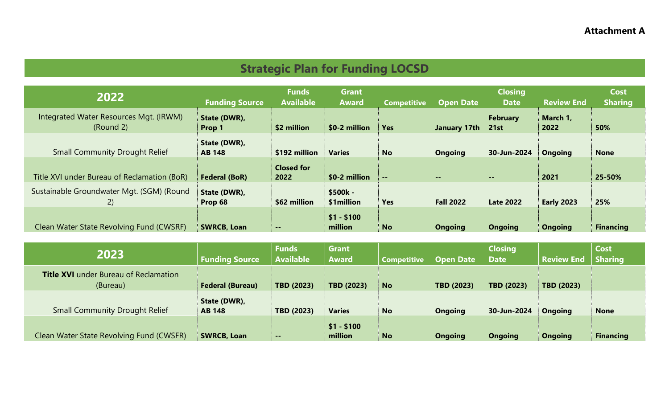# **Strategic Plan for Funding LOCSD**

| 2022                                                | <b>Funding Source</b>         | <b>Funds</b><br><b>Available</b> | <b>Grant</b><br><b>Award</b> | <b>Competitive</b> | <b>Open Date</b> | <b>Closing</b><br><b>Date</b> | <b>Review End</b> | <b>Cost</b><br><b>Sharing</b> |
|-----------------------------------------------------|-------------------------------|----------------------------------|------------------------------|--------------------|------------------|-------------------------------|-------------------|-------------------------------|
| Integrated Water Resources Mgt. (IRWM)<br>(Round 2) | State (DWR),<br>Prop 1        | \$2 million                      | \$0-2 million                | <b>Yes</b>         | January 17th     | <b>February</b><br>21st       | March 1,<br>2022  | 50%                           |
| <b>Small Community Drought Relief</b>               | State (DWR),<br><b>AB 148</b> | \$192 million                    | <b>Varies</b>                | <b>No</b>          | <b>Ongoing</b>   | 30-Jun-2024                   | <b>Ongoing</b>    | <b>None</b>                   |
| Title XVI under Bureau of Reclamation (BoR)         | <b>Federal (BoR)</b>          | <b>Closed for</b><br>2022        | \$0-2 million                | $\sim$ $\sim$      | $\sim$ $\sim$    | $\sim$ $\sim$                 | 2021              | 25-50%                        |
| Sustainable Groundwater Mgt. (SGM) (Round<br>2)     | State (DWR),<br>Prop 68       | \$62 million                     | \$500k -<br>\$1million       | <b>Yes</b>         | <b>Fall 2022</b> | <b>Late 2022</b>              | <b>Early 2023</b> | 25%                           |
| Clean Water State Revolving Fund (CWSRF)            | <b>SWRCB, Loan</b>            | $\sim$ $\sim$                    | $$1 - $100$<br>million       | <b>No</b>          | <b>Ongoing</b>   | <b>Ongoing</b>                | <b>Ongoing</b>    | <b>Financing</b>              |

| 2023                                                     | <b>Funding Source</b>         | <b>Funds</b><br><b>Available</b> | <b>Grant</b><br><b>Award</b> | <b>Competitive</b> | <b>Open Date</b>  | <b>Closing</b><br>Date | <b>Review End</b> | Cost<br><b>Sharing</b> |
|----------------------------------------------------------|-------------------------------|----------------------------------|------------------------------|--------------------|-------------------|------------------------|-------------------|------------------------|
| <b>Title XVI</b> under Bureau of Reclamation<br>(Bureau) | <b>Federal (Bureau)</b>       | <b>TBD (2023)</b>                | <b>TBD (2023)</b>            | <b>No</b>          | <b>TBD (2023)</b> | <b>TBD (2023)</b>      | <b>TBD (2023)</b> |                        |
| <b>Small Community Drought Relief</b>                    | State (DWR),<br><b>AB 148</b> | <b>TBD (2023)</b>                | <b>Varies</b>                | <b>No</b>          | <b>Ongoing</b>    | 30-Jun-2024            | <b>Ongoing</b>    | <b>None</b>            |
| Clean Water State Revolving Fund (CWSFR)                 | <b>SWRCB, Loan</b>            | $- -$                            | $$1 - $100$<br>million       | <b>No</b>          | <b>Ongoing</b>    | <b>Ongoing</b>         | <b>Ongoing</b>    | <b>Financing</b>       |